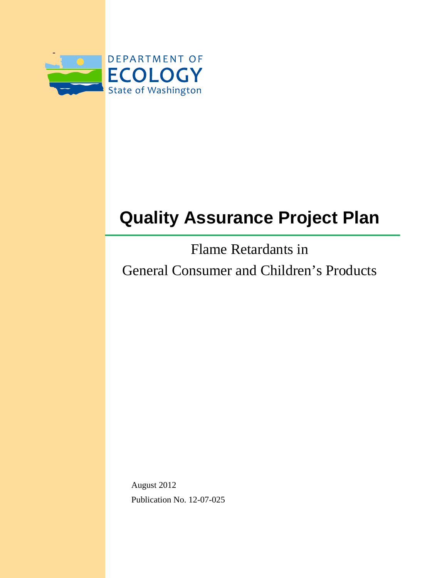

# **Quality Assurance Project Plan**

Flame Retardants in General Consumer and Children's Products

August 2012 Publication No. 12-07-025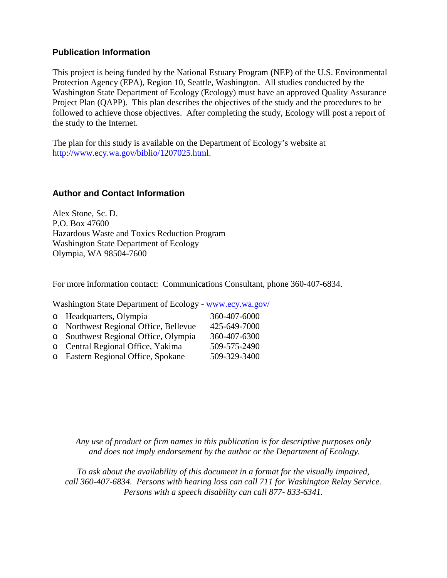#### **Publication Information**

This project is being funded by the National Estuary Program (NEP) of the U.S. Environmental Protection Agency (EPA), Region 10, Seattle, Washington. All studies conducted by the Washington State Department of Ecology (Ecology) must have an approved Quality Assurance Project Plan (QAPP). This plan describes the objectives of the study and the procedures to be followed to achieve those objectives. After completing the study, Ecology will post a report of the study to the Internet.

The plan for this study is available on the Department of Ecology's website at [http://www.ecy.wa.gov/biblio/1207025.html.](http://www.ecy.wa.gov/biblio/1207025.html)

#### **Author and Contact Information**

Alex Stone, Sc. D. P.O. Box 47600 Hazardous Waste and Toxics Reduction Program Washington State Department of Ecology Olympia, WA 98504-7600

For more information contact: Communications Consultant, phone 360-407-6834.

Washington State Department of Ecology - [www.ecy.wa.gov/](http://www.ecy.wa.gov/)

| o Headquarters, Olympia               | 360-407-6000 |
|---------------------------------------|--------------|
| o Northwest Regional Office, Bellevue | 425-649-7000 |
| o Southwest Regional Office, Olympia  | 360-407-6300 |
| o Central Regional Office, Yakima     | 509-575-2490 |
| o Eastern Regional Office, Spokane    | 509-329-3400 |
|                                       |              |

*Any use of product or firm names in this publication is for descriptive purposes only and does not imply endorsement by the author or the Department of Ecology.*

*To ask about the availability of this document in a format for the visually impaired, call 360-407-6834. Persons with hearing loss can call 711 for Washington Relay Service. Persons with a speech disability can call 877- 833-6341.*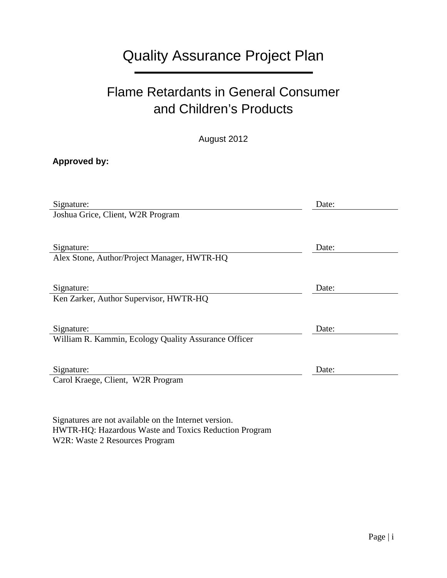## Quality Assurance Project Plan

## Flame Retardants in General Consumer and Children's Products

August 2012

#### **Approved by:**

| Signature:                                           | Date: |
|------------------------------------------------------|-------|
| Joshua Grice, Client, W2R Program                    |       |
|                                                      |       |
| Signature:                                           | Date: |
| Alex Stone, Author/Project Manager, HWTR-HQ          |       |
|                                                      |       |
| Signature:                                           | Date: |
| Ken Zarker, Author Supervisor, HWTR-HQ               |       |
|                                                      |       |
| Signature:                                           | Date: |
| William R. Kammin, Ecology Quality Assurance Officer |       |
|                                                      |       |
| Signature:                                           | Date: |
| Carol Kraege, Client, W2R Program                    |       |
|                                                      |       |

Signatures are not available on the Internet version. HWTR-HQ: Hazardous Waste and Toxics Reduction Program W2R: Waste 2 Resources Program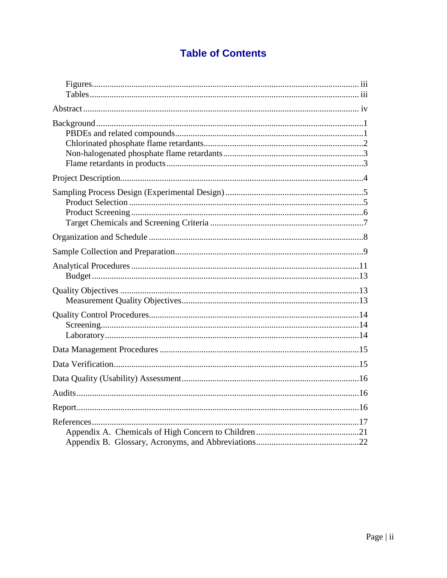## **Table of Contents**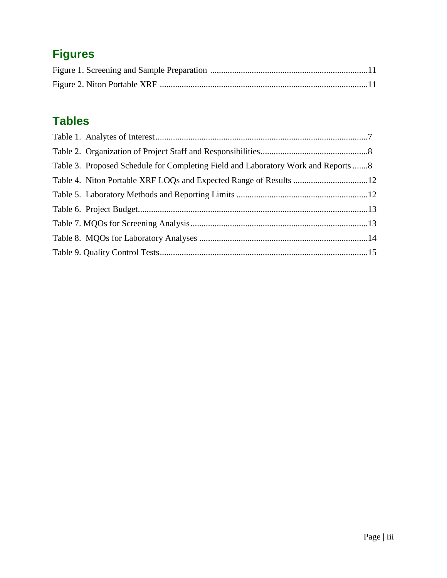## <span id="page-4-0"></span>**Figures**

## <span id="page-4-1"></span>**Tables**

| Table 3. Proposed Schedule for Completing Field and Laboratory Work and Reports 8 |  |
|-----------------------------------------------------------------------------------|--|
|                                                                                   |  |
|                                                                                   |  |
|                                                                                   |  |
|                                                                                   |  |
|                                                                                   |  |
|                                                                                   |  |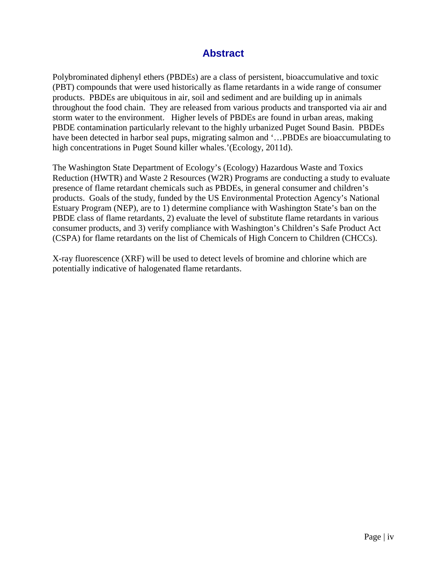#### **Abstract**

<span id="page-5-0"></span>Polybrominated diphenyl ethers (PBDEs) are a class of persistent, bioaccumulative and toxic (PBT) compounds that were used historically as flame retardants in a wide range of consumer products. PBDEs are ubiquitous in air, soil and sediment and are building up in animals throughout the food chain. They are released from various products and transported via air and storm water to the environment. Higher levels of PBDEs are found in urban areas, making PBDE contamination particularly relevant to the highly urbanized Puget Sound Basin. PBDEs have been detected in harbor seal pups, migrating salmon and '...PBDEs are bioaccumulating to high concentrations in Puget Sound killer whales.'(Ecology, 2011d).

The Washington State Department of Ecology's (Ecology) Hazardous Waste and Toxics Reduction (HWTR) and Waste 2 Resources (W2R) Programs are conducting a study to evaluate presence of flame retardant chemicals such as PBDEs, in general consumer and children's products. Goals of the study, funded by the US Environmental Protection Agency's National Estuary Program (NEP), are to 1) determine compliance with Washington State's ban on the PBDE class of flame retardants, 2) evaluate the level of substitute flame retardants in various consumer products, and 3) verify compliance with Washington's Children's Safe Product Act (CSPA) for flame retardants on the list of Chemicals of High Concern to Children (CHCCs).

X-ray fluorescence (XRF) will be used to detect levels of bromine and chlorine which are potentially indicative of halogenated flame retardants.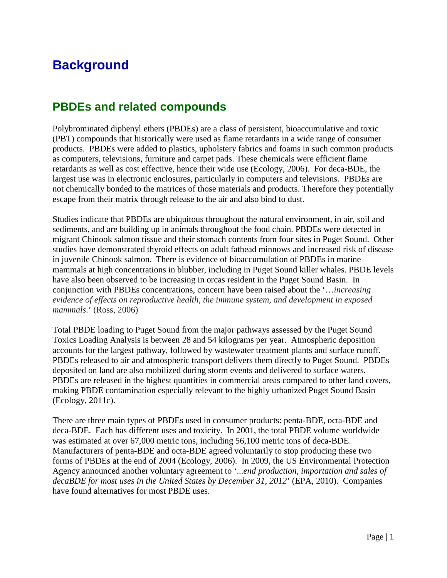## <span id="page-6-0"></span>**Background**

## <span id="page-6-1"></span>**PBDEs and related compounds**

Polybrominated diphenyl ethers (PBDEs) are a class of persistent, bioaccumulative and toxic (PBT) compounds that historically were used as flame retardants in a wide range of consumer products. PBDEs were added to plastics, upholstery fabrics and foams in such common products as computers, televisions, furniture and carpet pads. These chemicals were efficient flame retardants as well as cost effective, hence their wide use (Ecology, 2006). For deca-BDE, the largest use was in electronic enclosures, particularly in computers and televisions. PBDEs are not chemically bonded to the matrices of those materials and products. Therefore they potentially escape from their matrix through release to the air and also bind to dust.

Studies indicate that PBDEs are ubiquitous throughout the natural environment, in air, soil and sediments, and are building up in animals throughout the food chain. PBDEs were detected in migrant Chinook salmon tissue and their stomach contents from four sites in Puget Sound. Other studies have demonstrated thyroid effects on adult fathead minnows and increased risk of disease in juvenile Chinook salmon. There is evidence of bioaccumulation of PBDEs in marine mammals at high concentrations in blubber, including in Puget Sound killer whales. PBDE levels have also been observed to be increasing in orcas resident in the Puget Sound Basin. In conjunction with PBDEs concentrations, concern have been raised about the '…*increasing evidence of effects on reproductive health, the immune system, and development in exposed mammals*.' (Ross, 2006)

Total PBDE loading to Puget Sound from the major pathways assessed by the Puget Sound Toxics Loading Analysis is between 28 and 54 kilograms per year. Atmospheric deposition accounts for the largest pathway, followed by wastewater treatment plants and surface runoff. PBDEs released to air and atmospheric transport delivers them directly to Puget Sound. PBDEs deposited on land are also mobilized during storm events and delivered to surface waters. PBDEs are released in the highest quantities in commercial areas compared to other land covers, making PBDE contamination especially relevant to the highly urbanized Puget Sound Basin (Ecology, 2011c).

There are three main types of PBDEs used in consumer products: penta-BDE, octa-BDE and deca-BDE. Each has different uses and toxicity. In 2001, the total PBDE volume worldwide was estimated at over 67,000 metric tons, including 56,100 metric tons of deca-BDE. Manufacturers of penta-BDE and octa-BDE agreed voluntarily to stop producing these two forms of PBDEs at the end of 2004 (Ecology, 2006). In 2009, the US Environmental Protection Agency announced another voluntary agreement to '...*end production, importation and sales of decaBDE for most uses in the United States by December 31, 2012*' (EPA, 2010). Companies have found alternatives for most PBDE uses.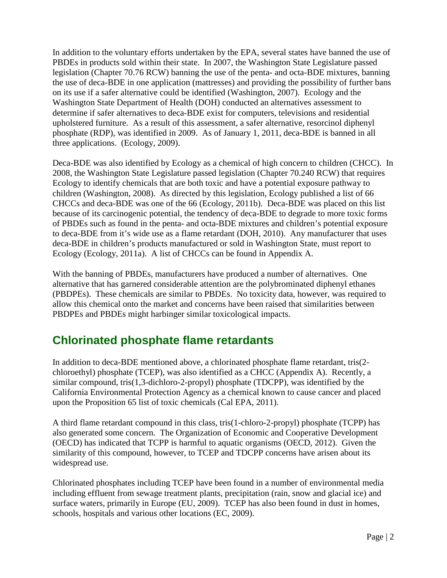In addition to the voluntary efforts undertaken by the EPA, several states have banned the use of PBDEs in products sold within their state. In 2007, the Washington State Legislature passed legislation (Chapter 70.76 RCW) banning the use of the penta- and octa-BDE mixtures, banning the use of deca-BDE in one application (mattresses) and providing the possibility of further bans on its use if a safer alternative could be identified (Washington, 2007). Ecology and the Washington State Department of Health (DOH) conducted an alternatives assessment to determine if safer alternatives to deca-BDE exist for computers, televisions and residential upholstered furniture. As a result of this assessment, a safer alternative, resorcinol diphenyl phosphate (RDP), was identified in 2009. As of January 1, 2011, deca-BDE is banned in all three applications. (Ecology, 2009).

Deca-BDE was also identified by Ecology as a chemical of high concern to children (CHCC). In 2008, the Washington State Legislature passed legislation (Chapter 70.240 RCW) that requires Ecology to identify chemicals that are both toxic and have a potential exposure pathway to children (Washington, 2008). As directed by this legislation, Ecology published a list of 66 CHCCs and deca-BDE was one of the 66 (Ecology, 2011b). Deca-BDE was placed on this list because of its carcinogenic potential, the tendency of deca-BDE to degrade to more toxic forms of PBDEs such as found in the penta- and octa-BDE mixtures and children's potential exposure to deca-BDE from it's wide use as a flame retardant (DOH, 2010). Any manufacturer that uses deca-BDE in children's products manufactured or sold in Washington State, must report to Ecology (Ecology, 2011a). A list of CHCCs can be found in Appendix A.

With the banning of PBDEs, manufacturers have produced a number of alternatives. One alternative that has garnered considerable attention are the polybrominated diphenyl ethanes (PBDPEs). These chemicals are similar to PBDEs. No toxicity data, however, was required to allow this chemical onto the market and concerns have been raised that similarities between PBDPEs and PBDEs might harbinger similar toxicological impacts.

## <span id="page-7-0"></span>**Chlorinated phosphate flame retardants**

In addition to deca-BDE mentioned above, a chlorinated phosphate flame retardant, tris(2 chloroethyl) phosphate (TCEP), was also identified as a CHCC (Appendix A). Recently, a similar compound, tris(1,3-dichloro-2-propyl) phosphate (TDCPP), was identified by the California Environmental Protection Agency as a chemical known to cause cancer and placed upon the Proposition 65 list of toxic chemicals (Cal EPA, 2011).

A third flame retardant compound in this class, tris(1-chloro-2-propyl) phosphate (TCPP) has also generated some concern. The Organization of Economic and Cooperative Development (OECD) has indicated that TCPP is harmful to aquatic organisms (OECD, 2012). Given the similarity of this compound, however, to TCEP and TDCPP concerns have arisen about its widespread use.

Chlorinated phosphates including TCEP have been found in a number of environmental media including effluent from sewage treatment plants, precipitation (rain, snow and glacial ice) and surface waters, primarily in Europe (EU, 2009). TCEP has also been found in dust in homes, schools, hospitals and various other locations (EC, 2009).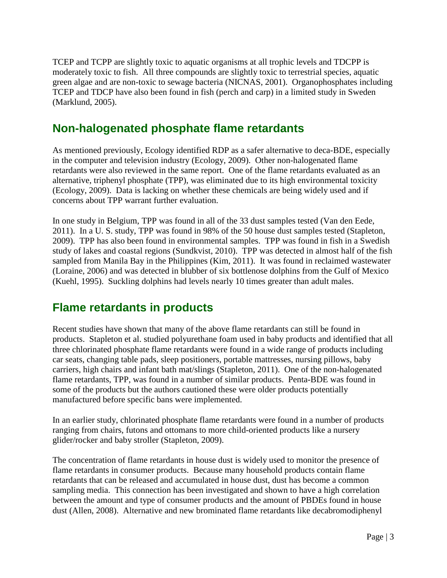TCEP and TCPP are slightly toxic to aquatic organisms at all trophic levels and TDCPP is moderately toxic to fish. All three compounds are slightly toxic to terrestrial species, aquatic green algae and are non-toxic to sewage bacteria (NICNAS, 2001). Organophosphates including TCEP and TDCP have also been found in fish (perch and carp) in a limited study in Sweden (Marklund, 2005).

## <span id="page-8-0"></span>**Non-halogenated phosphate flame retardants**

As mentioned previously, Ecology identified RDP as a safer alternative to deca-BDE, especially in the computer and television industry (Ecology, 2009). Other non-halogenated flame retardants were also reviewed in the same report. One of the flame retardants evaluated as an alternative, triphenyl phosphate (TPP), was eliminated due to its high environmental toxicity (Ecology, 2009). Data is lacking on whether these chemicals are being widely used and if concerns about TPP warrant further evaluation.

In one study in Belgium, TPP was found in all of the 33 dust samples tested (Van den Eede, 2011). In a U. S. study, TPP was found in 98% of the 50 house dust samples tested (Stapleton, 2009). TPP has also been found in environmental samples. TPP was found in fish in a Swedish study of lakes and coastal regions (Sundkvist, 2010). TPP was detected in almost half of the fish sampled from Manila Bay in the Philippines (Kim, 2011). It was found in reclaimed wastewater (Loraine, 2006) and was detected in blubber of six bottlenose dolphins from the Gulf of Mexico (Kuehl, 1995). Suckling dolphins had levels nearly 10 times greater than adult males.

## <span id="page-8-1"></span>**Flame retardants in products**

Recent studies have shown that many of the above flame retardants can still be found in products. Stapleton et al. studied polyurethane foam used in baby products and identified that all three chlorinated phosphate flame retardants were found in a wide range of products including car seats, changing table pads, sleep positioners, portable mattresses, nursing pillows, baby carriers, high chairs and infant bath mat/slings (Stapleton, 2011). One of the non-halogenated flame retardants, TPP, was found in a number of similar products. Penta-BDE was found in some of the products but the authors cautioned these were older products potentially manufactured before specific bans were implemented.

In an earlier study, chlorinated phosphate flame retardants were found in a number of products ranging from chairs, futons and ottomans to more child-oriented products like a nursery glider/rocker and baby stroller (Stapleton, 2009).

The concentration of flame retardants in house dust is widely used to monitor the presence of flame retardants in consumer products. Because many household products contain flame retardants that can be released and accumulated in house dust, dust has become a common sampling media. This connection has been investigated and shown to have a high correlation between the amount and type of consumer products and the amount of PBDEs found in house dust (Allen, 2008). Alternative and new brominated flame retardants like decabromodiphenyl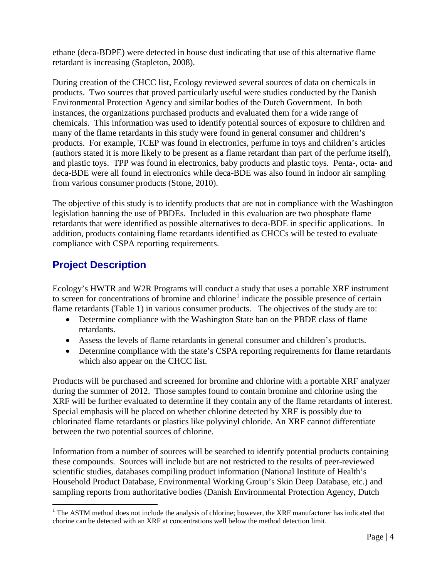ethane (deca-BDPE) were detected in house dust indicating that use of this alternative flame retardant is increasing (Stapleton, 2008).

During creation of the CHCC list, Ecology reviewed several sources of data on chemicals in products. Two sources that proved particularly useful were studies conducted by the Danish Environmental Protection Agency and similar bodies of the Dutch Government. In both instances, the organizations purchased products and evaluated them for a wide range of chemicals. This information was used to identify potential sources of exposure to children and many of the flame retardants in this study were found in general consumer and children's products. For example, TCEP was found in electronics, perfume in toys and children's articles (authors stated it is more likely to be present as a flame retardant than part of the perfume itself), and plastic toys. TPP was found in electronics, baby products and plastic toys. Penta-, octa- and deca-BDE were all found in electronics while deca-BDE was also found in indoor air sampling from various consumer products (Stone, 2010).

The objective of this study is to identify products that are not in compliance with the Washington legislation banning the use of PBDEs. Included in this evaluation are two phosphate flame retardants that were identified as possible alternatives to deca-BDE in specific applications. In addition, products containing flame retardants identified as CHCCs will be tested to evaluate compliance with CSPA reporting requirements.

## <span id="page-9-0"></span>**Project Description**

Ecology's HWTR and W2R Programs will conduct a study that uses a portable XRF instrument to screen for concentrations of bromine and chlorine<sup>[1](#page-9-1)</sup> indicate the possible presence of certain flame retardants (Table 1) in various consumer products. The objectives of the study are to:

- Determine compliance with the Washington State ban on the PBDE class of flame retardants.
- Assess the levels of flame retardants in general consumer and children's products.
- Determine compliance with the state's CSPA reporting requirements for flame retardants which also appear on the CHCC list.

Products will be purchased and screened for bromine and chlorine with a portable XRF analyzer during the summer of 2012. Those samples found to contain bromine and chlorine using the XRF will be further evaluated to determine if they contain any of the flame retardants of interest. Special emphasis will be placed on whether chlorine detected by XRF is possibly due to chlorinated flame retardants or plastics like polyvinyl chloride. An XRF cannot differentiate between the two potential sources of chlorine.

Information from a number of sources will be searched to identify potential products containing these compounds. Sources will include but are not restricted to the results of peer-reviewed scientific studies, databases compiling product information (National Institute of Health's Household Product Database, Environmental Working Group's Skin Deep Database, etc.) and sampling reports from authoritative bodies (Danish Environmental Protection Agency, Dutch

<span id="page-9-1"></span><sup>&</sup>lt;sup>1</sup> The ASTM method does not include the analysis of chlorine; however, the XRF manufacturer has indicated that chorine can be detected with an XRF at concentrations well below the method detection limit.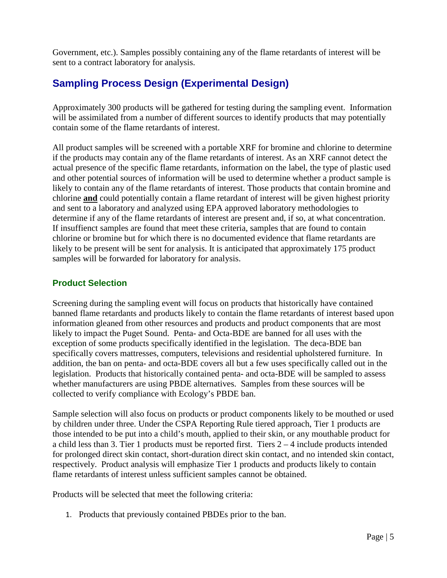Government, etc.). Samples possibly containing any of the flame retardants of interest will be sent to a contract laboratory for analysis.

## <span id="page-10-0"></span>**Sampling Process Design (Experimental Design)**

Approximately 300 products will be gathered for testing during the sampling event. Information will be assimilated from a number of different sources to identify products that may potentially contain some of the flame retardants of interest.

All product samples will be screened with a portable XRF for bromine and chlorine to determine if the products may contain any of the flame retardants of interest. As an XRF cannot detect the actual presence of the specific flame retardants, information on the label, the type of plastic used and other potential sources of information will be used to determine whether a product sample is likely to contain any of the flame retardants of interest. Those products that contain bromine and chlorine **and** could potentially contain a flame retardant of interest will be given highest priority and sent to a laboratory and analyzed using EPA approved laboratory methodologies to determine if any of the flame retardants of interest are present and, if so, at what concentration. If insuffienct samples are found that meet these criteria, samples that are found to contain chlorine or bromine but for which there is no documented evidence that flame retardants are likely to be present will be sent for analysis. It is anticipated that approximately 175 product samples will be forwarded for laboratory for analysis.

#### <span id="page-10-1"></span>**Product Selection**

Screening during the sampling event will focus on products that historically have contained banned flame retardants and products likely to contain the flame retardants of interest based upon information gleaned from other resources and products and product components that are most likely to impact the Puget Sound. Penta- and Octa-BDE are banned for all uses with the exception of some products specifically identified in the legislation. The deca-BDE ban specifically covers mattresses, computers, televisions and residential upholstered furniture. In addition, the ban on penta- and octa-BDE covers all but a few uses specifically called out in the legislation. Products that historically contained penta- and octa-BDE will be sampled to assess whether manufacturers are using PBDE alternatives. Samples from these sources will be collected to verify compliance with Ecology's PBDE ban.

Sample selection will also focus on products or product components likely to be mouthed or used by children under three. Under the CSPA Reporting Rule tiered approach, Tier 1 products are those intended to be put into a child's mouth, applied to their skin, or any mouthable product for a child less than 3. Tier 1 products must be reported first. Tiers 2 – 4 include products intended for prolonged direct skin contact, short-duration direct skin contact, and no intended skin contact, respectively. Product analysis will emphasize Tier 1 products and products likely to contain flame retardants of interest unless sufficient samples cannot be obtained.

Products will be selected that meet the following criteria:

1. Products that previously contained PBDEs prior to the ban.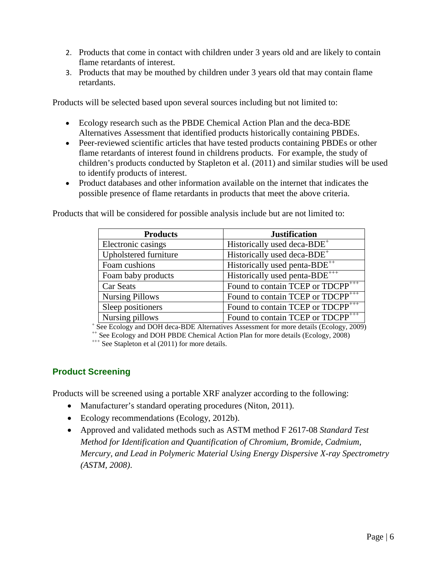- 2. Products that come in contact with children under 3 years old and are likely to contain flame retardants of interest.
- 3. Products that may be mouthed by children under 3 years old that may contain flame retardants.

Products will be selected based upon several sources including but not limited to:

- Ecology research such as the PBDE Chemical Action Plan and the deca-BDE Alternatives Assessment that identified products historically containing PBDEs.
- Peer-reviewed scientific articles that have tested products containing PBDEs or other flame retardants of interest found in childrens products. For example, the study of children's products conducted by Stapleton et al. (2011) and similar studies will be used to identify products of interest.
- Product databases and other information available on the internet that indicates the possible presence of flame retardants in products that meet the above criteria.

Products that will be considered for possible analysis include but are not limited to:

| <b>Products</b>        | <b>Justification</b>                          |
|------------------------|-----------------------------------------------|
| Electronic casings     | Historically used deca-BDE <sup>+</sup>       |
| Upholstered furniture  | Historically used deca-BDE <sup>+</sup>       |
| Foam cushions          | Historically used penta- $BDE^{++}$           |
| Foam baby products     | Historically used penta-BDE <sup>+++</sup>    |
| Car Seats              | Found to contain TCEP or TDCPP <sup>+++</sup> |
| <b>Nursing Pillows</b> | Found to contain TCEP or TDCPP <sup>+++</sup> |
| Sleep positioners      | Found to contain TCEP or TDCPP <sup>+++</sup> |
| Nursing pillows        | Found to contain TCEP or TDCPP <sup>+++</sup> |

+ See Ecology and DOH deca-BDE Alternatives Assessment for more details (Ecology, 2009) ++ See Ecology and DOH PBDE Chemical Action Plan for more details (Ecology, 2008) +++ See Stapleton et al (2011) for more details.

#### <span id="page-11-0"></span>**Product Screening**

Products will be screened using a portable XRF analyzer according to the following:

- Manufacturer's standard operating procedures (Niton, 2011).
- Ecology recommendations (Ecology, 2012b).
- Approved and validated methods such as ASTM method F 2617-08 *Standard Test Method for Identification and Quantification of Chromium, Bromide, Cadmium, Mercury, and Lead in Polymeric Material Using Energy Dispersive X-ray Spectrometry (ASTM, 2008)*.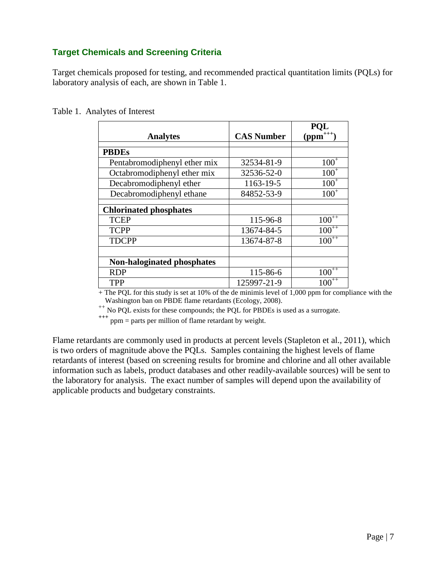#### <span id="page-12-0"></span>**Target Chemicals and Screening Criteria**

Target chemicals proposed for testing, and recommended practical quantitation limits (PQLs) for laboratory analysis of each, are shown in Table 1.

|  |  | Table 1. Analytes of Interest |
|--|--|-------------------------------|
|--|--|-------------------------------|

| <b>Analytes</b>                   | <b>CAS Number</b> | <b>POL</b><br>$(ppm^{+++})$ |
|-----------------------------------|-------------------|-----------------------------|
| <b>PBDEs</b>                      |                   |                             |
| Pentabromodiphenyl ether mix      | 32534-81-9        | $100^{+}$                   |
| Octabromodiphenyl ether mix       | 32536-52-0        | $100^{+}$                   |
| Decabromodiphenyl ether           | 1163-19-5         | $100^{+}$                   |
| Decabromodiphenyl ethane          | 84852-53-9        | $100^{+}$                   |
| <b>Chlorinated phosphates</b>     |                   |                             |
| <b>TCEP</b>                       | 115-96-8          | $100^{++}$                  |
| <b>TCPP</b>                       | 13674-84-5        | $100^{++}$                  |
| <b>TDCPP</b>                      | 13674-87-8        | $100^{++}$                  |
|                                   |                   |                             |
| <b>Non-haloginated phosphates</b> |                   |                             |
| <b>RDP</b>                        | 115-86-6          | $100^{++}$                  |
| <b>TPP</b>                        | 125997-21-9       | $100^{++}$                  |

+ The PQL for this study is set at 10% of the de minimis level of 1,000 ppm for compliance with the Washington ban on PBDE flame retardants (Ecology, 2008).

 $W$  as a surrogate retardant on PCL exists for these compounds; the PQL for PBDEs is used as a surrogate.

**+++** ppm = parts per million of flame retardant by weight.

Flame retardants are commonly used in products at percent levels (Stapleton et al., 2011), which is two orders of magnitude above the PQLs. Samples containing the highest levels of flame retardants of interest (based on screening results for bromine and chlorine and all other available information such as labels, product databases and other readily-available sources) will be sent to the laboratory for analysis. The exact number of samples will depend upon the availability of applicable products and budgetary constraints.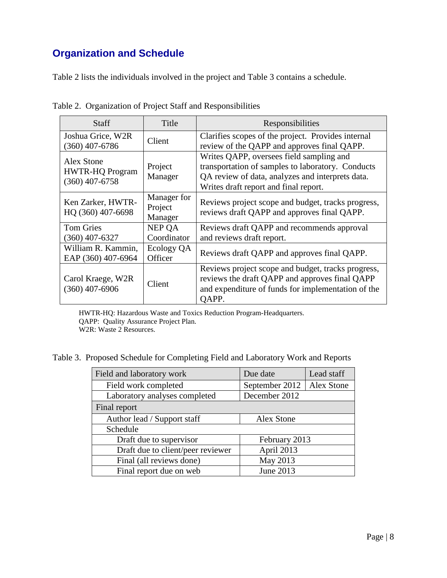## <span id="page-13-0"></span>**Organization and Schedule**

Table 2 lists the individuals involved in the project and Table 3 contains a schedule.

| Staff                                                    | Title                             | Responsibilities                                                                                                                                                                           |
|----------------------------------------------------------|-----------------------------------|--------------------------------------------------------------------------------------------------------------------------------------------------------------------------------------------|
| Joshua Grice, W2R<br>$(360)$ 407-6786                    | Client                            | Clarifies scopes of the project. Provides internal<br>review of the QAPP and approves final QAPP.                                                                                          |
| Alex Stone<br><b>HWTR-HQ Program</b><br>$(360)$ 407-6758 | Project<br>Manager                | Writes QAPP, oversees field sampling and<br>transportation of samples to laboratory. Conducts<br>QA review of data, analyzes and interprets data.<br>Writes draft report and final report. |
| Ken Zarker, HWTR-<br>HQ (360) 407-6698                   | Manager for<br>Project<br>Manager | Reviews project scope and budget, tracks progress,<br>reviews draft QAPP and approves final QAPP.                                                                                          |
| <b>Tom Gries</b><br>$(360)$ 407-6327                     | NEP OA<br>Coordinator             | Reviews draft QAPP and recommends approval<br>and reviews draft report.                                                                                                                    |
| William R. Kammin,<br>EAP (360) 407-6964                 | Ecology QA<br>Officer             | Reviews draft QAPP and approves final QAPP.                                                                                                                                                |
| Carol Kraege, W2R<br>$(360)$ 407-6906                    | Client                            | Reviews project scope and budget, tracks progress,<br>reviews the draft QAPP and approves final QAPP<br>and expenditure of funds for implementation of the<br>QAPP.                        |

Table 2. Organization of Project Staff and Responsibilities

HWTR-HQ: Hazardous Waste and Toxics Reduction Program-Headquarters. QAPP: Quality Assurance Project Plan. W2R: Waste 2 Resources.

Table 3. Proposed Schedule for Completing Field and Laboratory Work and Reports

| Field and laboratory work                 | Due date                     | Lead staff |  |
|-------------------------------------------|------------------------------|------------|--|
| Field work completed                      | September 2012<br>Alex Stone |            |  |
| Laboratory analyses completed             | December 2012                |            |  |
| Final report                              |                              |            |  |
| Author lead / Support staff<br>Alex Stone |                              |            |  |
| Schedule                                  |                              |            |  |
| Draft due to supervisor<br>February 2013  |                              |            |  |
| Draft due to client/peer reviewer         | April 2013                   |            |  |
| Final (all reviews done)                  | May 2013                     |            |  |
| Final report due on web                   | June 2013                    |            |  |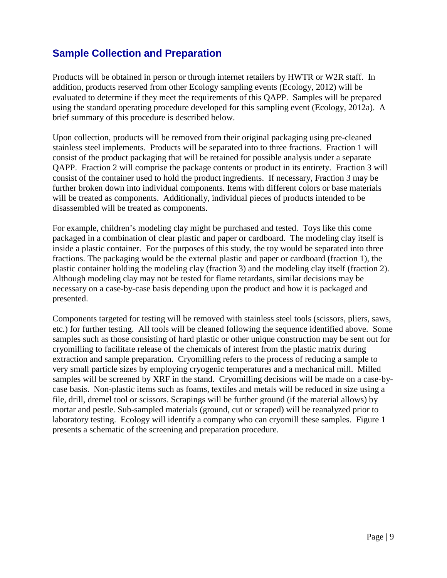### <span id="page-14-0"></span>**Sample Collection and Preparation**

Products will be obtained in person or through internet retailers by HWTR or W2R staff. In addition, products reserved from other Ecology sampling events (Ecology, 2012) will be evaluated to determine if they meet the requirements of this QAPP. Samples will be prepared using the standard operating procedure developed for this sampling event (Ecology, 2012a). A brief summary of this procedure is described below.

Upon collection, products will be removed from their original packaging using pre-cleaned stainless steel implements. Products will be separated into to three fractions. Fraction 1 will consist of the product packaging that will be retained for possible analysis under a separate QAPP. Fraction 2 will comprise the package contents or product in its entirety. Fraction 3 will consist of the container used to hold the product ingredients. If necessary, Fraction 3 may be further broken down into individual components. Items with different colors or base materials will be treated as components. Additionally, individual pieces of products intended to be disassembled will be treated as components.

For example, children's modeling clay might be purchased and tested. Toys like this come packaged in a combination of clear plastic and paper or cardboard. The modeling clay itself is inside a plastic container. For the purposes of this study, the toy would be separated into three fractions. The packaging would be the external plastic and paper or cardboard (fraction 1), the plastic container holding the modeling clay (fraction 3) and the modeling clay itself (fraction 2). Although modeling clay may not be tested for flame retardants, similar decisions may be necessary on a case-by-case basis depending upon the product and how it is packaged and presented.

Components targeted for testing will be removed with stainless steel tools (scissors, pliers, saws, etc.) for further testing. All tools will be cleaned following the sequence identified above. Some samples such as those consisting of hard plastic or other unique construction may be sent out for cryomilling to facilitate release of the chemicals of interest from the plastic matrix during extraction and sample preparation. Cryomilling refers to the process of reducing a sample to very small particle sizes by employing cryogenic temperatures and a mechanical mill. Milled samples will be screened by XRF in the stand. Cryomilling decisions will be made on a case-bycase basis. Non-plastic items such as foams, textiles and metals will be reduced in size using a file, drill, dremel tool or scissors. Scrapings will be further ground (if the material allows) by mortar and pestle. Sub-sampled materials (ground, cut or scraped) will be reanalyzed prior to laboratory testing. Ecology will identify a company who can cryomill these samples. Figure 1 presents a schematic of the screening and preparation procedure.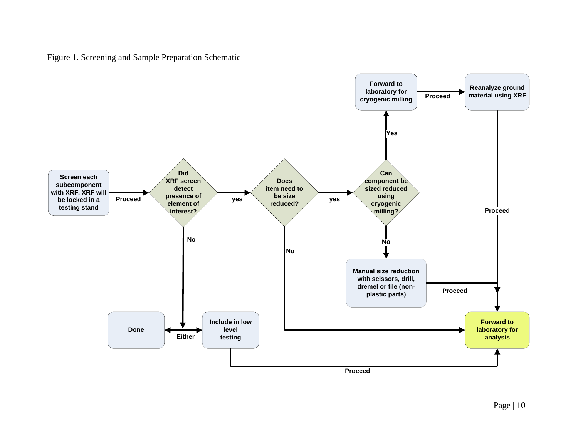Figure 1. Screening and Sample Preparation Schematic

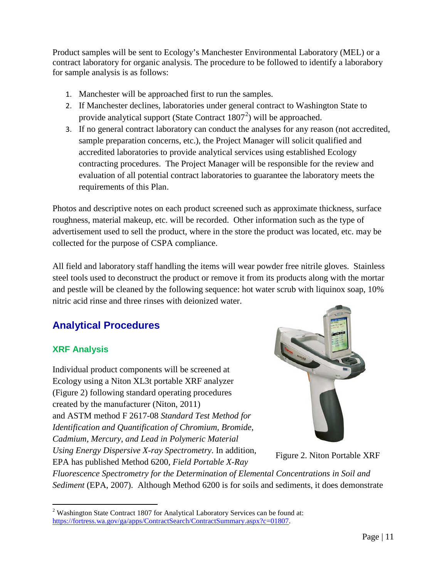Product samples will be sent to Ecology's Manchester Environmental Laboratory (MEL) or a contract laboratory for organic analysis. The procedure to be followed to identify a laborabory for sample analysis is as follows:

- 1. Manchester will be approached first to run the samples.
- 2. If Manchester declines, laboratories under general contract to Washington State to provide analytical support (State Contract  $1807<sup>2</sup>$  $1807<sup>2</sup>$  $1807<sup>2</sup>$ ) will be approached.
- 3. If no general contract laboratory can conduct the analyses for any reason (not accredited, sample preparation concerns, etc.), the Project Manager will solicit qualified and accredited laboratories to provide analytical services using established Ecology contracting procedures. The Project Manager will be responsible for the review and evaluation of all potential contract laboratories to guarantee the laboratory meets the requirements of this Plan.

Photos and descriptive notes on each product screened such as approximate thickness, surface roughness, material makeup, etc. will be recorded. Other information such as the type of advertisement used to sell the product, where in the store the product was located, etc. may be collected for the purpose of CSPA compliance.

All field and laboratory staff handling the items will wear powder free nitrile gloves. Stainless steel tools used to deconstruct the product or remove it from its products along with the mortar and pestle will be cleaned by the following sequence: hot water scrub with liquinox soap, 10% nitric acid rinse and three rinses with deionized water.

## <span id="page-16-0"></span>**Analytical Procedures**

#### **XRF Analysis**

Individual product components will be screened at Ecology using a Niton XL3t portable XRF analyzer (Figure 2) following standard operating procedures created by the manufacturer (Niton, 2011) and ASTM method F 2617-08 *Standard Test Method for Identification and Quantification of Chromium, Bromide, Cadmium, Mercury, and Lead in Polymeric Material Using Energy Dispersive X-ray Spectrometry*. In addition, EPA has published Method 6200, *Field Portable X-Ray* 



Figure 2. Niton Portable XRF

*Fluorescence Spectrometry for the Determination of Elemental Concentrations in Soil and Sediment* (EPA, 2007). Although Method 6200 is for soils and sediments, it does demonstrate

<span id="page-16-1"></span><sup>&</sup>lt;sup>2</sup> Washington State Contract 1807 for Analytical Laboratory Services can be found at: [https://fortress.wa.gov/ga/apps/ContractSearch/ContractSummary.aspx?c=01807.](https://fortress.wa.gov/ga/apps/ContractSearch/ContractSummary.aspx?c=01807)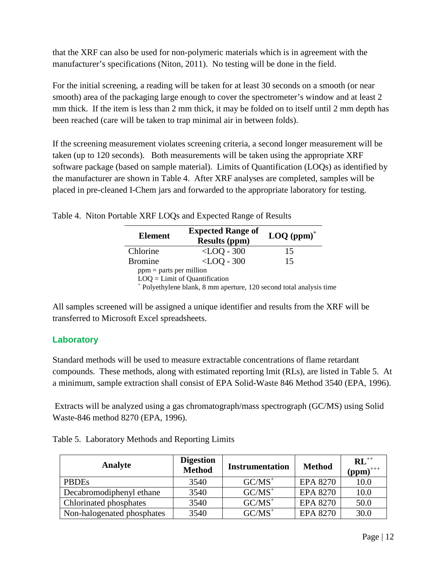that the XRF can also be used for non-polymeric materials which is in agreement with the manufacturer's specifications (Niton, 2011). No testing will be done in the field.

For the initial screening, a reading will be taken for at least 30 seconds on a smooth (or near smooth) area of the packaging large enough to cover the spectrometer's window and at least 2 mm thick. If the item is less than 2 mm thick, it may be folded on to itself until 2 mm depth has been reached (care will be taken to trap minimal air in between folds).

If the screening measurement violates screening criteria, a second longer measurement will be taken (up to 120 seconds). Both measurements will be taken using the appropriate XRF software package (based on sample material). Limits of Quantification (LOQs) as identified by the manufacturer are shown in Table 4. After XRF analyses are completed, samples will be placed in pre-cleaned I-Chem jars and forwarded to the appropriate laboratory for testing.

| <b>Element</b>            | <b>Expected Range of</b><br><b>Results (ppm)</b>                        | $\text{LOQ (ppm)}^+$ |
|---------------------------|-------------------------------------------------------------------------|----------------------|
| Chlorine                  | $<$ LOQ - 300                                                           | 15                   |
| <b>Bromine</b>            | $<$ LOO - 300                                                           | 15                   |
| $ppm =$ parts per million |                                                                         |                      |
|                           | $LOQ = Limit of Quantification$                                         |                      |
|                           | $^+$ Dolvethylang blank, $\Omega$ mm aparture 120 second total analysis |                      |

Table 4. Niton Portable XRF LOQs and Expected Range of Results

Polyethylene blank, 8 mm aperture, 120 second total analysis time

All samples screened will be assigned a unique identifier and results from the XRF will be transferred to Microsoft Excel spreadsheets.

#### **Laboratory**

Standard methods will be used to measure extractable concentrations of flame retardant compounds. These methods, along with estimated reporting lmit (RLs), are listed in Table 5. At a minimum, sample extraction shall consist of EPA Solid-Waste 846 Method 3540 (EPA, 1996).

Extracts will be analyzed using a gas chromatograph/mass spectrograph (GC/MS) using Solid Waste-846 method 8270 (EPA, 1996).

|  |  |  | Table 5. Laboratory Methods and Reporting Limits |  |
|--|--|--|--------------------------------------------------|--|
|--|--|--|--------------------------------------------------|--|

| Analyte                    | <b>Digestion</b><br><b>Method</b> | <b>Instrumentation</b> | <b>Method</b>   | $\mathbf{RL}^{++}$<br>$(ppm)^{+++}$ |
|----------------------------|-----------------------------------|------------------------|-----------------|-------------------------------------|
| <b>PBDEs</b>               | 3540                              | $GC/MS^+$              | <b>EPA 8270</b> | 10.0                                |
| Decabromodiphenyl ethane   | 3540                              | $GC/MS^+$              | EPA 8270        | 10.0                                |
| Chlorinated phosphates     | 3540                              | $GC/MS^+$              | <b>EPA 8270</b> | 50.0                                |
| Non-halogenated phosphates | 3540                              | $GC/MS^+$              | <b>EPA 8270</b> | 30.0                                |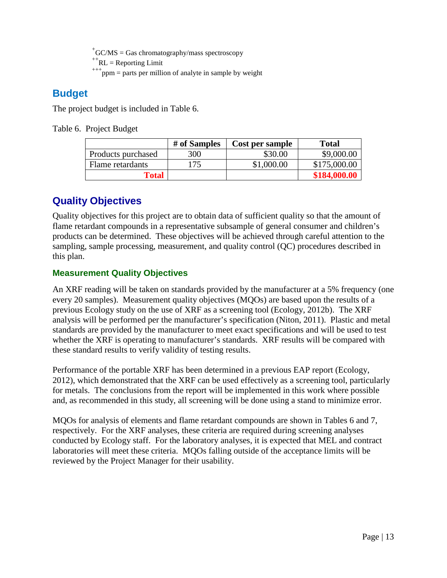$+$ GC/MS = Gas chromatography/mass spectroscopy

 $H + RL$  = Reporting Limit<br> $H + H$ <sub>ppm</sub> = parts per million of analyte in sample by weight

### <span id="page-18-0"></span>**Budget**

The project budget is included in Table 6.

Table 6. Project Budget

|                    | # of Samples | Cost per sample | <b>Total</b> |
|--------------------|--------------|-----------------|--------------|
| Products purchased | 300          | \$30.00         | \$9,000.00   |
| Flame retardants   | 175          | \$1,000.00      | \$175,000.00 |
| <b>Total</b>       |              |                 | \$184,000.00 |

### <span id="page-18-1"></span>**Quality Objectives**

Quality objectives for this project are to obtain data of sufficient quality so that the amount of flame retardant compounds in a representative subsample of general consumer and children's products can be determined. These objectives will be achieved through careful attention to the sampling, sample processing, measurement, and quality control (QC) procedures described in this plan.

#### <span id="page-18-2"></span>**Measurement Quality Objectives**

An XRF reading will be taken on standards provided by the manufacturer at a 5% frequency (one every 20 samples). Measurement quality objectives (MQOs) are based upon the results of a previous Ecology study on the use of XRF as a screening tool (Ecology, 2012b). The XRF analysis will be performed per the manufacturer's specification (Niton, 2011). Plastic and metal standards are provided by the manufacturer to meet exact specifications and will be used to test whether the XRF is operating to manufacturer's standards. XRF results will be compared with these standard results to verify validity of testing results.

Performance of the portable XRF has been determined in a previous EAP report (Ecology, 2012), which demonstrated that the XRF can be used effectively as a screening tool, particularly for metals. The conclusions from the report will be implemented in this work where possible and, as recommended in this study, all screening will be done using a stand to minimize error.

MQOs for analysis of elements and flame retardant compounds are shown in Tables 6 and 7, respectively. For the XRF analyses, these criteria are required during screening analyses conducted by Ecology staff. For the laboratory analyses, it is expected that MEL and contract laboratories will meet these criteria. MQOs falling outside of the acceptance limits will be reviewed by the Project Manager for their usability.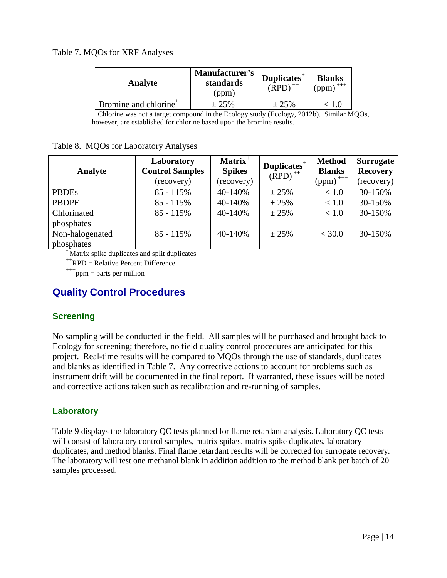#### Table 7. MQOs for XRF Analyses

| Manufacturer's<br>standards<br>(ppm) | $D$ uplicates <sup>+</sup><br>$(RPD)$ <sup>++</sup> | <b>Blanks</b><br>$(ppm)$ <sup>+++</sup> |
|--------------------------------------|-----------------------------------------------------|-----------------------------------------|
| ± 25%                                | ± 25%                                               | : 1.0                                   |
|                                      |                                                     |                                         |

+ Chlorine was not a target compound in the Ecology study (Ecology, 2012b). Similar MQOs, however, are established for chlorine based upon the bromine results.

|  | Table 8. MQOs for Laboratory Analyses |  |  |
|--|---------------------------------------|--|--|
|--|---------------------------------------|--|--|

| Analyte         | Laboratory<br><b>Control Samples</b><br>(recovery) | Matrix <sup>+</sup><br><b>Spikes</b><br>(recovery) | Duplicates <sup>+</sup><br>$(RPD)$ <sup>++</sup> | <b>Method</b><br><b>Blanks</b><br>$(ppm)$ <sup>+++</sup> | <b>Surrogate</b><br><b>Recovery</b><br>(recovery) |
|-----------------|----------------------------------------------------|----------------------------------------------------|--------------------------------------------------|----------------------------------------------------------|---------------------------------------------------|
| <b>PBDEs</b>    | $85 - 115%$                                        | 40-140%                                            | $\pm 25\%$                                       | < 1.0                                                    | 30-150%                                           |
| <b>PBDPE</b>    | $85 - 115%$                                        | 40-140%                                            | $\pm 25\%$                                       | < 1.0                                                    | 30-150%                                           |
| Chlorinated     | $85 - 115\%$                                       | 40-140%                                            | ± 25%                                            | < 1.0                                                    | 30-150%                                           |
| phosphates      |                                                    |                                                    |                                                  |                                                          |                                                   |
| Non-halogenated | $85 - 115%$                                        | 40-140%                                            | ± 25%                                            | < 30.0                                                   | 30-150%                                           |
| phosphates      |                                                    |                                                    |                                                  |                                                          |                                                   |

**<sup>+</sup>**Matrix spike duplicates and split duplicates

<sup>++</sup>RPD = Relative Percent Difference<br><sup>+++</sup>ppm = parts per million

### <span id="page-19-0"></span>**Quality Control Procedures**

#### <span id="page-19-1"></span>**Screening**

No sampling will be conducted in the field. All samples will be purchased and brought back to Ecology for screening; therefore, no field quality control procedures are anticipated for this project. Real-time results will be compared to MQOs through the use of standards, duplicates and blanks as identified in Table 7. Any corrective actions to account for problems such as instrument drift will be documented in the final report. If warranted, these issues will be noted and corrective actions taken such as recalibration and re-running of samples.

#### <span id="page-19-2"></span>**Laboratory**

Table 9 displays the laboratory QC tests planned for flame retardant analysis. Laboratory QC tests will consist of laboratory control samples, matrix spikes, matrix spike duplicates, laboratory duplicates, and method blanks. Final flame retardant results will be corrected for surrogate recovery. The laboratory will test one methanol blank in addition addition to the method blank per batch of 20 samples processed.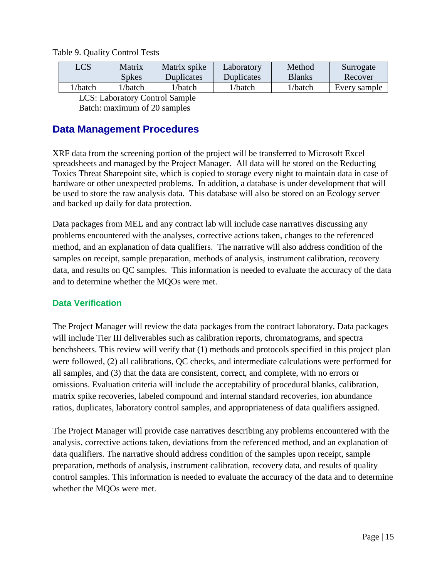| LCS     | Matrix       | Matrix spike | Laboratory        | Method        | Surrogate    |
|---------|--------------|--------------|-------------------|---------------|--------------|
|         | <b>Spkes</b> | Duplicates   | <b>Duplicates</b> | <b>Blanks</b> | Recover      |
| l/batch | /batch       | l/batch      | l/batch           | l/batch       | Every sample |
| $   -$  |              |              |                   |               |              |

Table 9. Quality Control Tests

LCS: Laboratory Control Sample

Batch: maximum of 20 samples

#### <span id="page-20-0"></span>**Data Management Procedures**

XRF data from the screening portion of the project will be transferred to Microsoft Excel spreadsheets and managed by the Project Manager. All data will be stored on the Reducting Toxics Threat Sharepoint site, which is copied to storage every night to maintain data in case of hardware or other unexpected problems. In addition, a database is under development that will be used to store the raw analysis data. This database will also be stored on an Ecology server and backed up daily for data protection.

Data packages from MEL and any contract lab will include case narratives discussing any problems encountered with the analyses, corrective actions taken, changes to the referenced method, and an explanation of data qualifiers. The narrative will also address condition of the samples on receipt, sample preparation, methods of analysis, instrument calibration, recovery data, and results on QC samples. This information is needed to evaluate the accuracy of the data and to determine whether the MQOs were met.

#### <span id="page-20-1"></span>**Data Verification**

The Project Manager will review the data packages from the contract laboratory. Data packages will include Tier III deliverables such as calibration reports, chromatograms, and spectra benchsheets. This review will verify that (1) methods and protocols specified in this project plan were followed, (2) all calibrations, QC checks, and intermediate calculations were performed for all samples, and (3) that the data are consistent, correct, and complete, with no errors or omissions. Evaluation criteria will include the acceptability of procedural blanks, calibration, matrix spike recoveries, labeled compound and internal standard recoveries, ion abundance ratios, duplicates, laboratory control samples, and appropriateness of data qualifiers assigned.

The Project Manager will provide case narratives describing any problems encountered with the analysis, corrective actions taken, deviations from the referenced method, and an explanation of data qualifiers. The narrative should address condition of the samples upon receipt, sample preparation, methods of analysis, instrument calibration, recovery data, and results of quality control samples. This information is needed to evaluate the accuracy of the data and to determine whether the MQOs were met.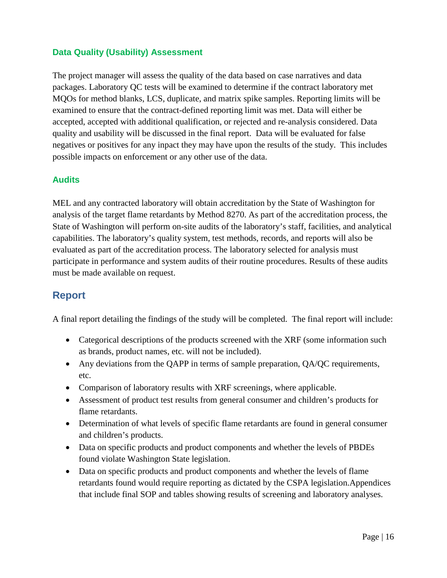#### <span id="page-21-0"></span>**Data Quality (Usability) Assessment**

The project manager will assess the quality of the data based on case narratives and data packages. Laboratory QC tests will be examined to determine if the contract laboratory met MQOs for method blanks, LCS, duplicate, and matrix spike samples. Reporting limits will be examined to ensure that the contract-defined reporting limit was met. Data will either be accepted, accepted with additional qualification, or rejected and re-analysis considered. Data quality and usability will be discussed in the final report. Data will be evaluated for false negatives or positives for any inpact they may have upon the results of the study. This includes possible impacts on enforcement or any other use of the data.

#### <span id="page-21-1"></span>**Audits**

MEL and any contracted laboratory will obtain accreditation by the State of Washington for analysis of the target flame retardants by Method 8270. As part of the accreditation process, the State of Washington will perform on-site audits of the laboratory's staff, facilities, and analytical capabilities. The laboratory's quality system, test methods, records, and reports will also be evaluated as part of the accreditation process. The laboratory selected for analysis must participate in performance and system audits of their routine procedures. Results of these audits must be made available on request.

#### <span id="page-21-2"></span>**Report**

A final report detailing the findings of the study will be completed. The final report will include:

- Categorical descriptions of the products screened with the XRF (some information such as brands, product names, etc. will not be included).
- Any deviations from the QAPP in terms of sample preparation, QA/QC requirements, etc.
- Comparison of laboratory results with XRF screenings, where applicable.
- Assessment of product test results from general consumer and children's products for flame retardants.
- Determination of what levels of specific flame retardants are found in general consumer and children's products.
- Data on specific products and product components and whether the levels of PBDEs found violate Washington State legislation.
- Data on specific products and product components and whether the levels of flame retardants found would require reporting as dictated by the CSPA legislation.Appendices that include final SOP and tables showing results of screening and laboratory analyses.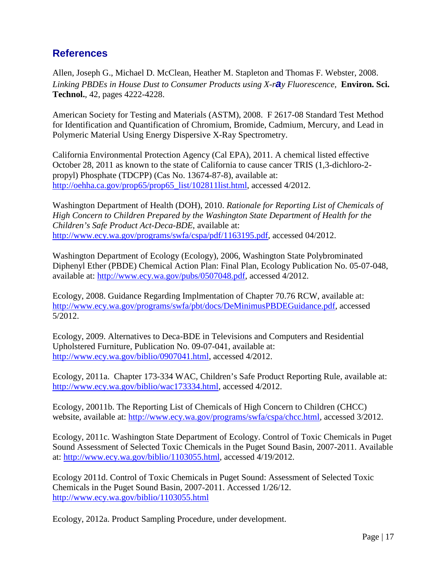### <span id="page-22-0"></span>**References**

Allen, Joseph G., Michael D. McClean, Heather M. Stapleton and Thomas F. Webster, 2008. *Linking PBDEs in House Dust to Consumer Products using X-ray Fluorescence,* **Environ. Sci. Technol.**, 42, pages 4222-4228.

American Society for Testing and Materials (ASTM), 2008. F 2617-08 Standard Test Method for Identification and Quantification of Chromium, Bromide, Cadmium, Mercury, and Lead in Polymeric Material Using Energy Dispersive X-Ray Spectrometry.

California Environmental Protection Agency (Cal EPA), 2011. A chemical listed effective October 28, 2011 as known to the state of California to cause cancer TRIS (1,3-dichloro-2 propyl) Phosphate (TDCPP) (Cas No. 13674-87-8), available at: [http://oehha.ca.gov/prop65/prop65\\_list/102811list.html,](http://oehha.ca.gov/prop65/prop65_list/102811list.html) accessed 4/2012.

Washington Department of Health (DOH), 2010. *Rationale for Reporting List of Chemicals of High Concern to Children Prepared by the Washington State Department of Health for the Children's Safe Product Act-Deca-BDE*, available at: [http://www.ecy.wa.gov/programs/swfa/cspa/pdf/1163195.pdf,](http://www.ecy.wa.gov/programs/swfa/cspa/pdf/1163195.pdf) accessed 04/2012.

Washington Department of Ecology (Ecology), 2006, Washington State Polybrominated Diphenyl Ether (PBDE) Chemical Action Plan: Final Plan, Ecology Publication No. 05-07-048, available at: [http://www.ecy.wa.gov/pubs/0507048.pdf,](http://www.ecy.wa.gov/pubs/0507048.pdf) accessed 4/2012.

Ecology, 2008. Guidance Regarding Implmentation of Chapter 70.76 RCW, available at: [http://www.ecy.wa.gov/programs/swfa/pbt/docs/DeMinimusPBDEGuidance.pdf,](http://www.ecy.wa.gov/programs/swfa/pbt/docs/DeMinimusPBDEGuidance.pdf) accessed 5/2012.

Ecology, 2009. Alternatives to Deca-BDE in Televisions and Computers and Residential Upholstered Furniture, Publication No. 09-07-041, available at: [http://www.ecy.wa.gov/biblio/0907041.html,](http://www.ecy.wa.gov/biblio/0907041.html) accessed 4/2012.

Ecology, 2011a. Chapter 173-334 WAC, Children's Safe Product Reporting Rule, available at: [http://www.ecy.wa.gov/biblio/wac173334.html,](http://www.ecy.wa.gov/biblio/wac173334.html) accessed 4/2012.

Ecology, 20011b. The Reporting List of Chemicals of High Concern to Children (CHCC) website, available at: [http://www.ecy.wa.gov/programs/swfa/cspa/chcc.html,](http://www.ecy.wa.gov/programs/swfa/cspa/chcc.html) accessed 3/2012.

Ecology, 2011c. Washington State Department of Ecology. Control of Toxic Chemicals in Puget Sound Assessment of Selected Toxic Chemicals in the Puget Sound Basin, 2007-2011. Available at: [http://www.ecy.wa.gov/biblio/1103055.html,](http://www.ecy.wa.gov/biblio/1103055.html) accessed 4/19/2012.

Ecology 2011d. Control of Toxic Chemicals in Puget Sound: Assessment of Selected Toxic Chemicals in the Puget Sound Basin, 2007-2011. Accessed 1/26/12. <http://www.ecy.wa.gov/biblio/1103055.html>

Ecology, 2012a. Product Sampling Procedure, under development.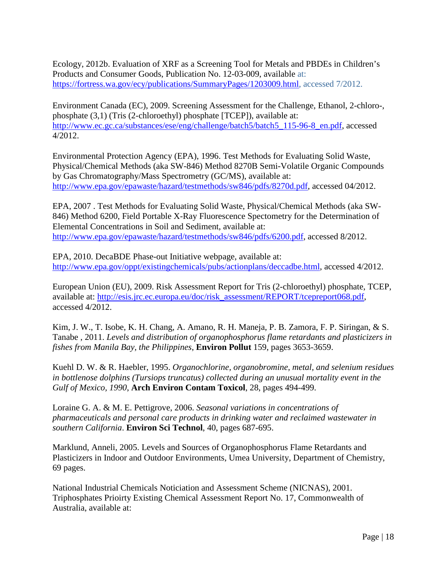Ecology, 2012b. Evaluation of XRF as a Screening Tool for Metals and PBDEs in Children's Products and Consumer Goods, Publication No. 12-03-009, available at: [https://fortress.wa.gov/ecy/publications/SummaryPages/1203009.html,](https://fortress.wa.gov/ecy/publications/SummaryPages/1203009.html) accessed 7/2012.

Environment Canada (EC), 2009. Screening Assessment for the Challenge, Ethanol, 2-chloro-, phosphate (3,1) (Tris (2-chloroethyl) phosphate [TCEP]), available at: [http://www.ec.gc.ca/substances/ese/eng/challenge/batch5/batch5\\_115-96-8\\_en.pdf,](http://www.ec.gc.ca/substances/ese/eng/challenge/batch5/batch5_115-96-8_en.pdf) accessed 4/2012.

Environmental Protection Agency (EPA), 1996. Test Methods for Evaluating Solid Waste, Physical/Chemical Methods (aka SW-846) Method 8270B Semi-Volatile Organic Compounds by Gas Chromatography/Mass Spectrometry (GC/MS), available at: [http://www.epa.gov/epawaste/hazard/testmethods/sw846/pdfs/8270d.pdf,](http://www.epa.gov/epawaste/hazard/testmethods/sw846/pdfs/8270d.pdf) accessed 04/2012.

EPA, 2007 . Test Methods for Evaluating Solid Waste, Physical/Chemical Methods (aka SW-846) Method 6200, Field Portable X-Ray Fluorescence Spectometry for the Determination of Elemental Concentrations in Soil and Sediment, available at: [http://www.epa.gov/epawaste/hazard/testmethods/sw846/pdfs/6200.pdf,](http://www.epa.gov/epawaste/hazard/testmethods/sw846/pdfs/6200.pdf) accessed 8/2012.

EPA, 2010. DecaBDE Phase-out Initiative webpage, available at: [http://www.epa.gov/oppt/existingchemicals/pubs/actionplans/deccadbe.html,](http://www.epa.gov/oppt/existingchemicals/pubs/actionplans/deccadbe.html) accessed 4/2012.

European Union (EU), 2009. Risk Assessment Report for Tris (2-chloroethyl) phosphate, TCEP, available at: [http://esis.jrc.ec.europa.eu/doc/risk\\_assessment/REPORT/tcepreport068.pdf,](http://esis.jrc.ec.europa.eu/doc/risk_assessment/REPORT/tcepreport068.pdf) accessed 4/2012.

Kim, J. W., T. Isobe, K. H. Chang, A. Amano, R. H. Maneja, P. B. Zamora, F. P. Siringan, & S. Tanabe , 2011. *Levels and distribution of organophosphorus flame retardants and plasticizers in fishes from Manila Bay, the Philippines*, **Environ Pollut** 159, pages 3653-3659.

Kuehl D. W. & R. Haebler, 1995. *Organochlorine, organobromine, metal, and selenium residues in bottlenose dolphins (Tursiops truncatus) collected during an unusual mortality event in the Gulf of Mexico, 1990*, **Arch Environ Contam Toxicol**, 28, pages 494-499.

Loraine G. A. & M. E. Pettigrove, 2006. *Seasonal variations in concentrations of pharmaceuticals and personal care products in drinking water and reclaimed wastewater in southern California*. **Environ Sci Technol**, 40, pages 687-695.

Marklund, Anneli, 2005. Levels and Sources of Organophosphorus Flame Retardants and Plasticizers in Indoor and Outdoor Environments, Umea University, Department of Chemistry, 69 pages.

National Industrial Chemicals Noticiation and Assessment Scheme (NICNAS), 2001. Triphosphates Prioirty Existing Chemical Assessment Report No. 17, Commonwealth of Australia, available at: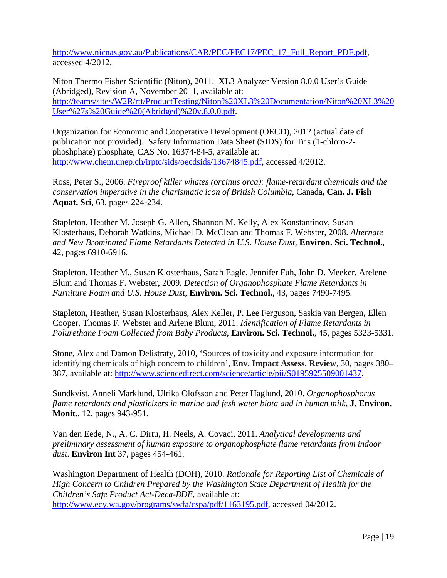[http://www.nicnas.gov.au/Publications/CAR/PEC/PEC17/PEC\\_17\\_Full\\_Report\\_PDF.pdf,](http://www.nicnas.gov.au/Publications/CAR/PEC/PEC17/PEC_17_Full_Report_PDF.pdf) accessed 4/2012.

Niton Thermo Fisher Scientific (Niton), 2011. XL3 Analyzer Version 8.0.0 User's Guide (Abridged), Revision A, November 2011, available at: [http://teams/sites/W2R/rtt/ProductTesting/Niton%20XL3%20Documentation/Niton%20XL3%20](http://teams/sites/W2R/rtt/ProductTesting/Niton%20XL3%20Documentation/Niton%20XL3%20User%27s%20Guide%20(Abridged)%20v.8.0.0.pdf) [User%27s%20Guide%20\(Abridged\)%20v.8.0.0.pdf.](http://teams/sites/W2R/rtt/ProductTesting/Niton%20XL3%20Documentation/Niton%20XL3%20User%27s%20Guide%20(Abridged)%20v.8.0.0.pdf)

Organization for Economic and Cooperative Development (OECD), 2012 (actual date of publication not provided). Safety Information Data Sheet (SIDS) for Tris (1-chloro-2 phoshphate) phosphate, CAS No. 16374-84-5, available at: [http://www.chem.unep.ch/irptc/sids/oecdsids/13674845.pdf,](http://www.chem.unep.ch/irptc/sids/oecdsids/13674845.pdf) accessed 4/2012.

Ross, Peter S., 2006. *Fireproof killer whates (orcinus orca): flame-retardant chemicals and the conservation imperative in the charismatic icon of British Columbia*, Canada**, Can. J. Fish Aquat. Sci**, 63, pages 224-234.

Stapleton, Heather M. Joseph G. Allen, Shannon M. Kelly, Alex Konstantinov, Susan Klosterhaus, Deborah Watkins, Michael D. McClean and Thomas F. Webster, 2008. *Alternate and New Brominated Flame Retardants Detected in U.S. House Dust,* **Environ. Sci. Technol.**, 42, pages 6910-6916.

Stapleton, Heather M., Susan Klosterhaus, Sarah Eagle, Jennifer Fuh, John D. Meeker, Arelene Blum and Thomas F. Webster, 2009. *Detection of Organophosphate Flame Retardants in Furniture Foam and U.S. House Dust,* **Environ. Sci. Technol.**, 43, pages 7490-7495.

Stapleton, Heather, Susan Klosterhaus, Alex Keller, P. Lee Ferguson, Saskia van Bergen, Ellen Cooper, Thomas F. Webster and Arlene Blum, 2011. *Identification of Flame Retardants in Polurethane Foam Collected from Baby Products*, **Environ. Sci. Technol.**, 45, pages 5323-5331.

Stone, Alex and Damon Delistraty, 2010, 'Sources of toxicity and exposure information for identifying chemicals of high concern to children', **Env. Impact Assess. Review**, 30, pages 380– 387, available at: [http://www.sciencedirect.com/science/article/pii/S0195925509001437.](http://www.sciencedirect.com/science/article/pii/S0195925509001437)

Sundkvist, Anneli Marklund, Ulrika Olofsson and Peter Haglund, 2010. *Organophosphorus flame retardants and plasticizers in marine and fesh water biota and in human milk*, **J. Environ. Monit.**, 12, pages 943-951.

Van den Eede, N., A. C. Dirtu, H. Neels, A. Covaci, 2011. *Analytical developments and preliminary assessment of human exposure to organophosphate flame retardants from indoor dust*. **Environ Int** 37, pages 454-461.

Washington Department of Health (DOH), 2010. *Rationale for Reporting List of Chemicals of High Concern to Children Prepared by the Washington State Department of Health for the Children's Safe Product Act-Deca-BDE*, available at: [http://www.ecy.wa.gov/programs/swfa/cspa/pdf/1163195.pdf,](http://www.ecy.wa.gov/programs/swfa/cspa/pdf/1163195.pdf) accessed 04/2012.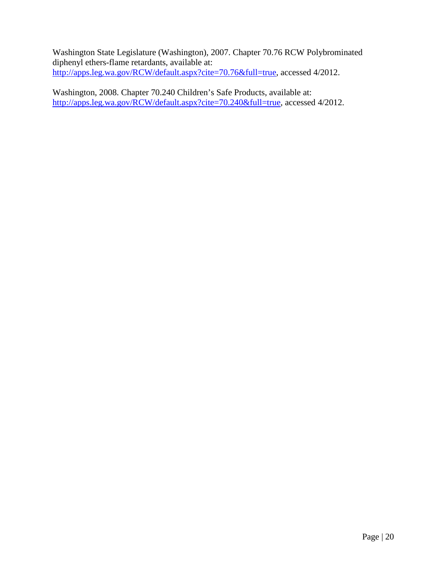Washington State Legislature (Washington), 2007. Chapter 70.76 RCW Polybrominated diphenyl ethers-flame retardants, available at: [http://apps.leg.wa.gov/RCW/default.aspx?cite=70.76&full=true,](http://apps.leg.wa.gov/RCW/default.aspx?cite=70.76&full=true) accessed 4/2012.

Washington, 2008. Chapter 70.240 Children's Safe Products, available at: [http://apps.leg.wa.gov/RCW/default.aspx?cite=70.240&full=true,](http://apps.leg.wa.gov/RCW/default.aspx?cite=70.240&full=true) accessed 4/2012.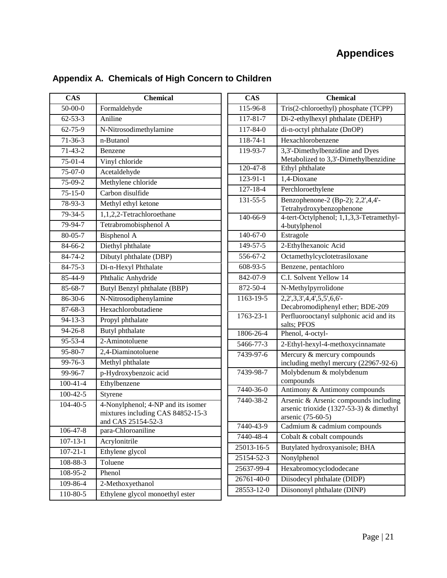## **Appendices**

| <b>CAS</b>     | <b>Chemical</b>                                                                               |
|----------------|-----------------------------------------------------------------------------------------------|
| $50-00-0$      | Formaldehyde                                                                                  |
| $62 - 53 - 3$  | Aniline                                                                                       |
| $62 - 75 - 9$  | N-Nitrosodimethylamine                                                                        |
| $71 - 36 - 3$  | n-Butanol                                                                                     |
| $71-43-2$      | Benzene                                                                                       |
| $75-01-4$      | Vinyl chloride                                                                                |
| $75-07-0$      | Acetaldehyde                                                                                  |
| 75-09-2        | Methylene chloride                                                                            |
| $75 - 15 - 0$  | Carbon disulfide                                                                              |
| 78-93-3        | Methyl ethyl ketone                                                                           |
| 79-34-5        | 1,1,2,2-Tetrachloroethane                                                                     |
| 79-94-7        | Tetrabromobisphenol A                                                                         |
| 80-05-7        | Bisphenol A                                                                                   |
| 84-66-2        | Diethyl phthalate                                                                             |
| 84-74-2        | Dibutyl phthalate (DBP)                                                                       |
| $84 - 75 - 3$  | Di-n-Hexyl Phthalate                                                                          |
| 85-44-9        | Phthalic Anhydride                                                                            |
| 85-68-7        | Butyl Benzyl phthalate (BBP)                                                                  |
| 86-30-6        | N-Nitrosodiphenylamine                                                                        |
| $87 - 68 - 3$  | Hexachlorobutadiene                                                                           |
| $94 - 13 - 3$  | Propyl phthalate                                                                              |
| $94 - 26 - 8$  | Butyl phthalate                                                                               |
| 95-53-4        | 2-Aminotoluene                                                                                |
| 95-80-7        | 2,4-Diaminotoluene                                                                            |
| 99-76-3        | Methyl phthalate                                                                              |
| $99 - 96 - 7$  | p-Hydroxybenzoic acid                                                                         |
| $100 - 41 - 4$ | Ethylbenzene                                                                                  |
| $100 - 42 - 5$ | Styrene                                                                                       |
| $104 - 40 - 5$ | 4-Nonylphenol; 4-NP and its isomer<br>mixtures including CAS 84852-15-3<br>and CAS 25154-52-3 |
| 106-47-8       | para-Chloroaniline                                                                            |
| $107 - 13 - 1$ | Acrylonitrile                                                                                 |
| $107 - 21 - 1$ | Ethylene glycol                                                                               |
| 108-88-3       | Toluene                                                                                       |
| 108-95-2       | Phenol                                                                                        |
| 109-86-4       | 2-Methoxyethanol                                                                              |
| 110-80-5       | Ethylene glycol monoethyl ester                                                               |

## <span id="page-26-0"></span>**Appendix A. Chemicals of High Concern to Children**

| <b>CAS</b>             | <b>Chemical</b>                                                                  |
|------------------------|----------------------------------------------------------------------------------|
| 115-96-8               | Tris(2-chloroethyl) phosphate (TCPP)                                             |
| 117-81-7               | Di-2-ethylhexyl phthalate (DEHP)                                                 |
| 117-84-0               | di-n-octyl phthalate (DnOP)                                                      |
| 118-74-1               | Hexachlorobenzene                                                                |
| 119-93-7               | 3,3'-Dimethylbenzidine and Dyes                                                  |
|                        | Metabolized to 3,3'-Dimethylbenzidine                                            |
| 120-47-8               | Ethyl phthalate                                                                  |
| $123 - 91 - 1$         | 1,4-Dioxane                                                                      |
| 127-18-4               | Perchloroethylene                                                                |
| $\overline{131}$ -55-5 | Benzophenone-2 (Bp-2); 2,2',4,4'-                                                |
|                        | Tetrahydroxybenzophenone                                                         |
| 140-66-9               | 4-tert-Octylphenol; 1,1,3,3-Tetramethyl-<br>4-butylphenol                        |
| 140-67-0               | Estragole                                                                        |
| 149-57-5               | 2-Ethylhexanoic Acid                                                             |
| 556-67-2               | Octamethylcyclotetrasiloxane                                                     |
| 608-93-5               | Benzene, pentachloro                                                             |
| 842-07-9               | C.I. Solvent Yellow 14                                                           |
| 872-50-4               | N-Methylpyrrolidone                                                              |
| 1163-19-5              | 2, 2', 3, 3', 4, 4', 5, 5', 6, 6'-                                               |
|                        | Decabromodiphenyl ether; BDE-209                                                 |
| 1763-23-1              | Perfluorooctanyl sulphonic acid and its<br>salts; PFOS                           |
| 1806-26-4              | Phenol, 4-octyl-                                                                 |
| 5466-77-3              | 2-Ethyl-hexyl-4-methoxycinnamate                                                 |
| 7439-97-6              | Mercury & mercury compounds                                                      |
|                        | including methyl mercury (22967-92-6)                                            |
| 7439-98-7              | Molybdenum & molybdenum                                                          |
| 7440-36-0              | compounds                                                                        |
|                        | Antimony & Antimony compounds                                                    |
| 7440-38-2              | Arsenic & Arsenic compounds including<br>arsenic trioxide (1327-53-3) & dimethyl |
|                        | arsenic (75-60-5)                                                                |
| 7440-43-9              | Cadmium & cadmium compounds                                                      |
| 7440-48-4              | Cobalt & cobalt compounds                                                        |
| 25013-16-5             | Butylated hydroxyanisole; BHA                                                    |
| 25154-52-3             | Nonylphenol                                                                      |
| 25637-99-4             | Hexabromocyclododecane                                                           |
| 26761-40-0             | Diisodecyl phthalate (DIDP)                                                      |
| 28553-12-0             | Diisononyl phthalate (DINP)                                                      |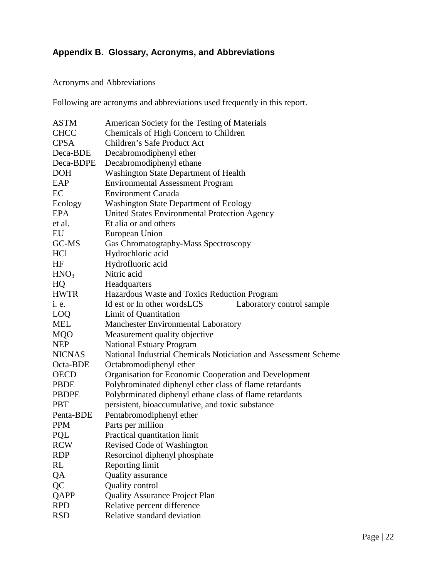### <span id="page-27-0"></span>**Appendix B. Glossary, Acronyms, and Abbreviations**

#### Acronyms and Abbreviations

Following are acronyms and abbreviations used frequently in this report.

| <b>ASTM</b>      | American Society for the Testing of Materials                   |
|------------------|-----------------------------------------------------------------|
| <b>CHCC</b>      | Chemicals of High Concern to Children                           |
| <b>CPSA</b>      | Children's Safe Product Act                                     |
| Deca-BDE         | Decabromodiphenyl ether                                         |
| Deca-BDPE        | Decabromodiphenyl ethane                                        |
| <b>DOH</b>       | Washington State Department of Health                           |
| EAP              | <b>Environmental Assessment Program</b>                         |
| EC               | <b>Environment Canada</b>                                       |
| Ecology          | <b>Washington State Department of Ecology</b>                   |
| <b>EPA</b>       | United States Environmental Protection Agency                   |
| et al.           | Et alia or and others                                           |
| EU               | European Union                                                  |
| GC-MS            | Gas Chromatography-Mass Spectroscopy                            |
| HCl              | Hydrochloric acid                                               |
| HF               | Hydrofluoric acid                                               |
| HNO <sub>3</sub> | Nitric acid                                                     |
| HQ               | Headquarters                                                    |
| <b>HWTR</b>      | Hazardous Waste and Toxics Reduction Program                    |
| <i>i.</i> e.     | Id est or In other wordsLCS<br>Laboratory control sample        |
| LOQ              | Limit of Quantitation                                           |
| <b>MEL</b>       | <b>Manchester Environmental Laboratory</b>                      |
| <b>MQO</b>       | Measurement quality objective                                   |
| <b>NEP</b>       | <b>National Estuary Program</b>                                 |
| <b>NICNAS</b>    | National Industrial Chemicals Noticiation and Assessment Scheme |
| Octa-BDE         | Octabromodiphenyl ether                                         |
| <b>OECD</b>      | Organisation for Economic Cooperation and Development           |
| <b>PBDE</b>      | Polybrominated diphenyl ether class of flame retardants         |
| <b>PBDPE</b>     | Polybrminated diphenyl ethane class of flame retardants         |
| <b>PBT</b>       | persistent, bioaccumulative, and toxic substance                |
| Penta-BDE        | Pentabromodiphenyl ether                                        |
| <b>PPM</b>       | Parts per million                                               |
| PQL              | Practical quantitation limit                                    |
| <b>RCW</b>       | Revised Code of Washington                                      |
| <b>RDP</b>       | Resorcinol diphenyl phosphate                                   |
| RL               | Reporting limit                                                 |
| QA               | Quality assurance                                               |
| QC               | <b>Quality control</b>                                          |
| QAPP             | <b>Quality Assurance Project Plan</b>                           |
| <b>RPD</b>       | Relative percent difference                                     |
| <b>RSD</b>       | Relative standard deviation                                     |
|                  |                                                                 |